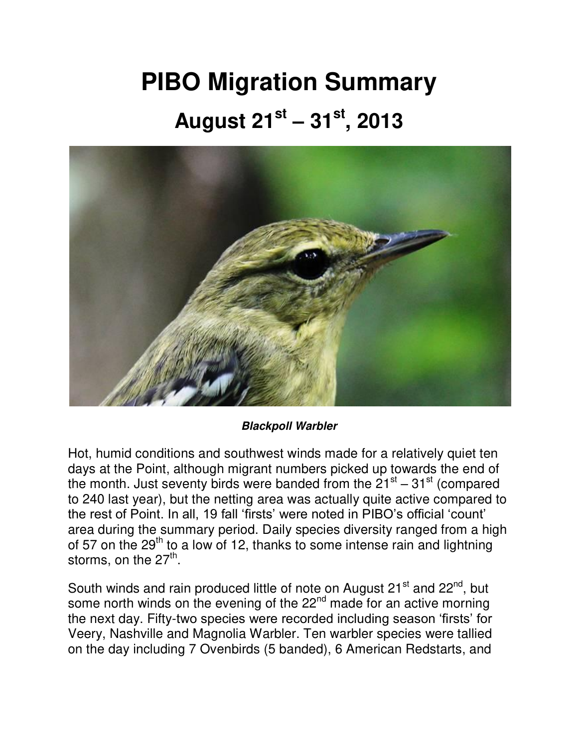## **PIBO Migration Summary August 21st – 31st, 2013**



## *Blackpoll Warbler*

Hot, humid conditions and southwest winds made for a relatively quiet ten days at the Point, although migrant numbers picked up towards the end of the month. Just seventy birds were banded from the  $21^{st}$  –  $31^{st}$  (compared to 240 last year), but the netting area was actually quite active compared to the rest of Point. In all, 19 fall 'firsts' were noted in PIBO's official 'count' area during the summary period. Daily species diversity ranged from a high of 57 on the  $29<sup>th</sup>$  to a low of 12, thanks to some intense rain and lightning storms, on the 27<sup>th</sup>.

South winds and rain produced little of note on August 21<sup>st</sup> and 22<sup>nd</sup>, but some north winds on the evening of the 22<sup>nd</sup> made for an active morning the next day. Fifty-two species were recorded including season 'firsts' for Veery, Nashville and Magnolia Warbler. Ten warbler species were tallied on the day including 7 Ovenbirds (5 banded), 6 American Redstarts, and